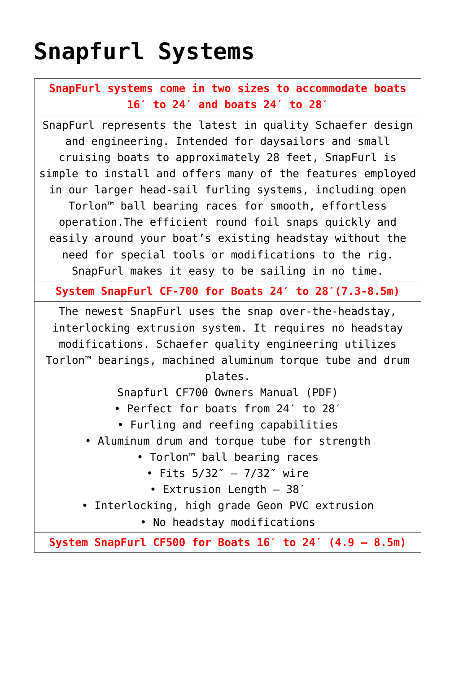## **[Snapfurl Systems](https://www.schaefermarine.com/our-products/jib-furlers/snapfurl-systems/)**

**SnapFurl systems come in two sizes to accommodate boats 16′ to 24′ and boats 24′ to 28′**

SnapFurl represents the latest in quality Schaefer design and engineering. Intended for daysailors and small cruising boats to approximately 28 feet, SnapFurl is simple to install and offers many of the features employed in our larger head-sail furling systems, including open Torlon™ ball bearing races for smooth, effortless operation.The efficient round foil snaps quickly and easily around your boat's existing headstay without the need for special tools or modifications to the rig. SnapFurl makes it easy to be sailing in no time.

**System SnapFurl CF-700 for Boats 24′ to 28′(7.3-8.5m)**

The newest SnapFurl uses the snap over-the-headstay, interlocking extrusion system. It requires no headstay modifications. Schaefer quality engineering utilizes Torlon™ bearings, machined aluminum torque tube and drum

plates.

[Snapfurl CF700 Owners Manual \(PDF\)](https://www.schaefermarine.com/wp-content/uploads/2015/01/CF700Partslist.pdf)

- Perfect for boats from 24′ to 28′
	- Furling and reefing capabilities
- Aluminum drum and torque tube for strength
	- Torlon™ ball bearing races
		- Fits 5/32″ 7/32″ wire
		- Extrusion Length 38′
- Interlocking, high grade Geon PVC extrusion
	- No headstay modifications

**System SnapFurl CF500 for Boats 16′ to 24′ (4.9 – 8.5m)**